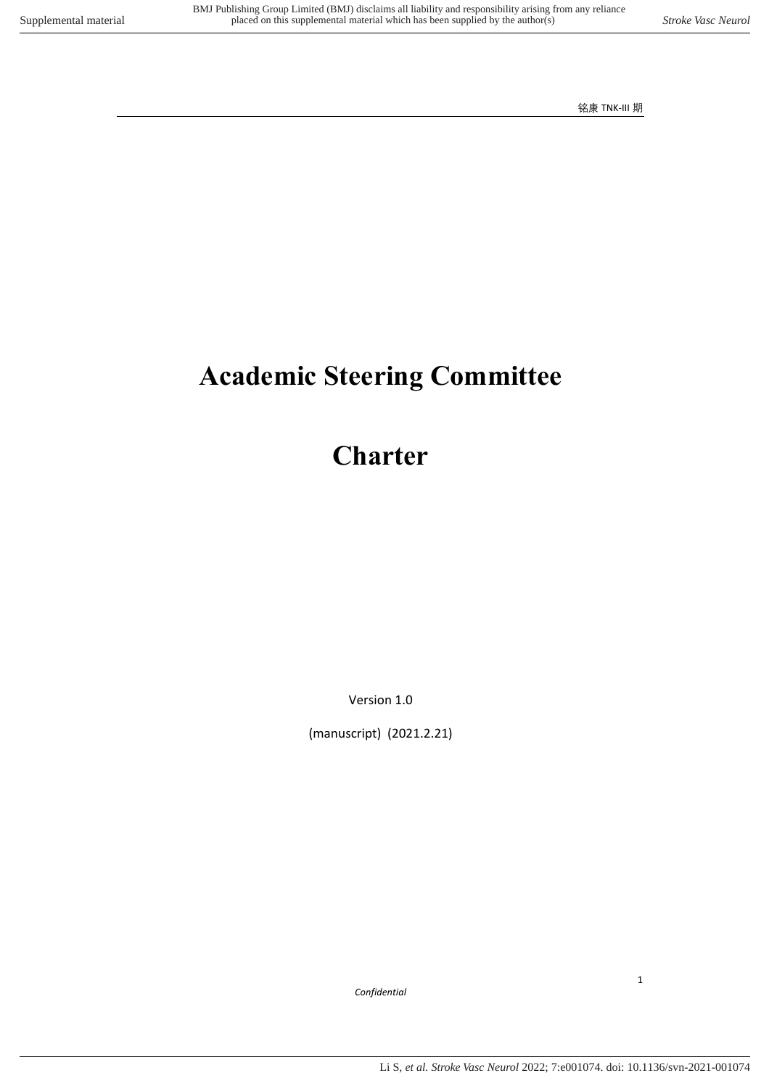# **Academic Steering Committee**

## **Charter**

Version 1.0

(manuscript) (2021.2.21)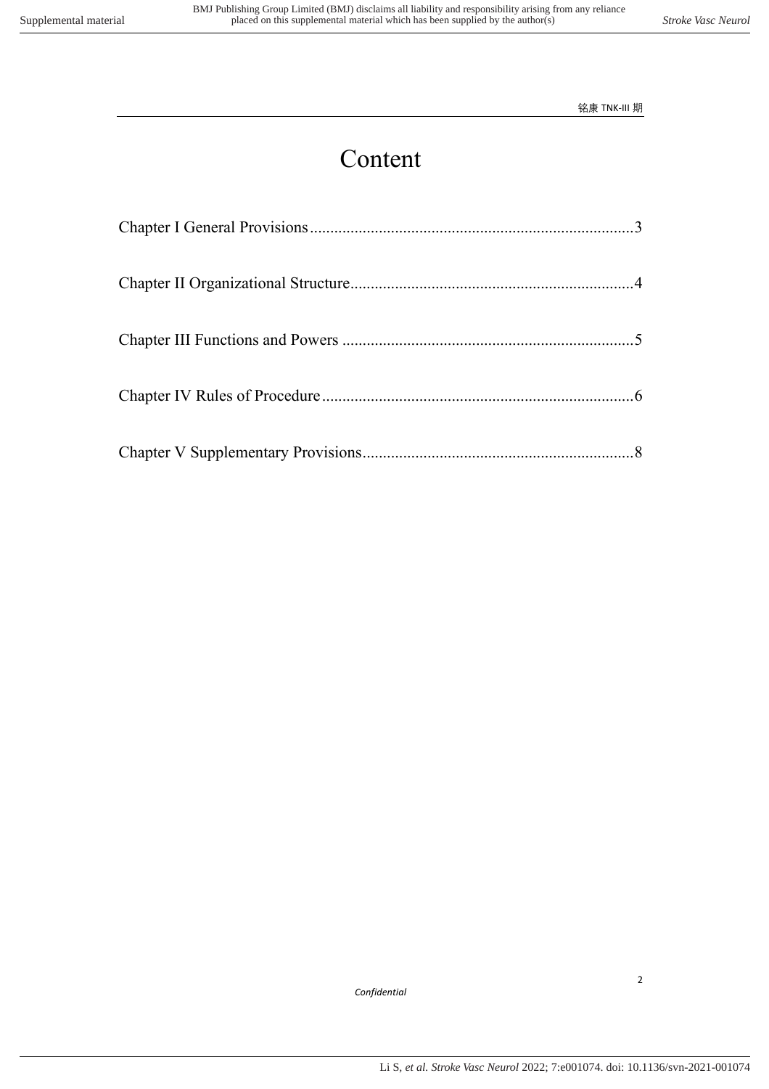## Content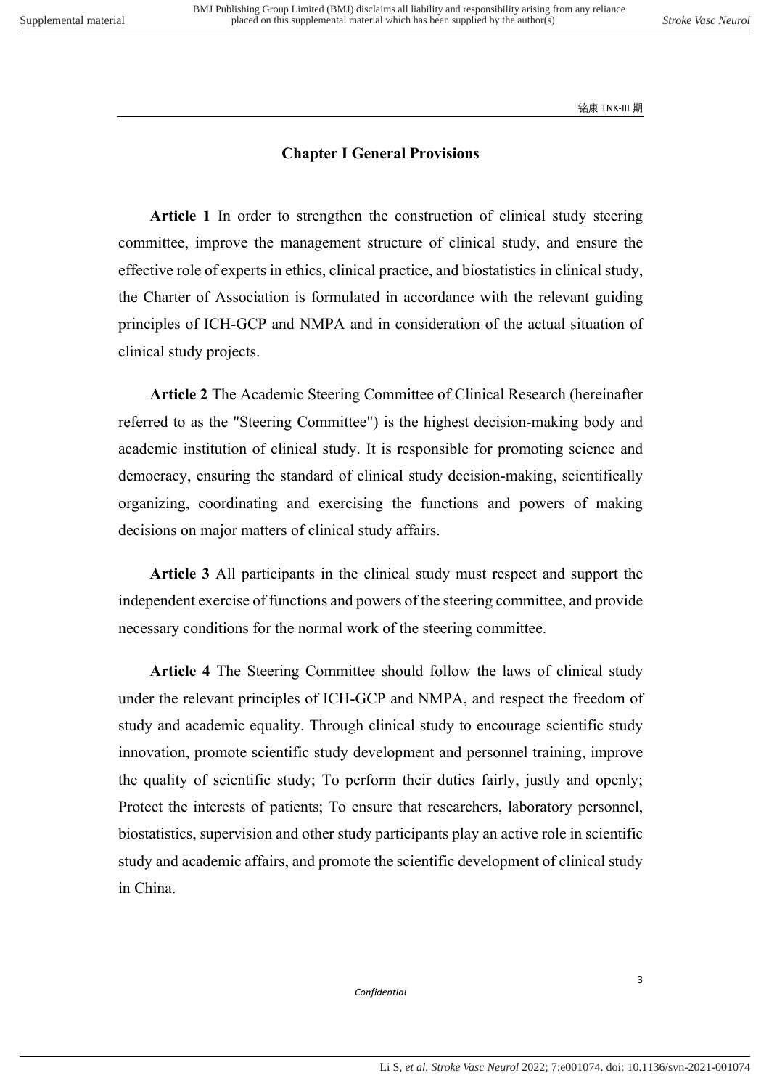### **Chapter I General Provisions**

<span id="page-2-0"></span>**Article 1** In order to strengthen the construction of clinical study steering committee, improve the management structure of clinical study, and ensure the effective role of experts in ethics, clinical practice, and biostatistics in clinical study, the Charter of Association is formulated in accordance with the relevant guiding principles of ICH-GCP and NMPA and in consideration of the actual situation of clinical study projects.

**Article 2** The Academic Steering Committee of Clinical Research (hereinafter referred to as the "Steering Committee") is the highest decision-making body and academic institution of clinical study. It is responsible for promoting science and democracy, ensuring the standard of clinical study decision-making, scientifically organizing, coordinating and exercising the functions and powers of making decisions on major matters of clinical study affairs.

**Article 3** All participants in the clinical study must respect and support the independent exercise of functions and powers of the steering committee, and provide necessary conditions for the normal work of the steering committee.

**Article 4** The Steering Committee should follow the laws of clinical study under the relevant principles of ICH-GCP and NMPA, and respect the freedom of study and academic equality. Through clinical study to encourage scientific study innovation, promote scientific study development and personnel training, improve the quality of scientific study; To perform their duties fairly, justly and openly; Protect the interests of patients; To ensure that researchers, laboratory personnel, biostatistics, supervision and other study participants play an active role in scientific study and academic affairs, and promote the scientific development of clinical study in China.

*Confidential*

3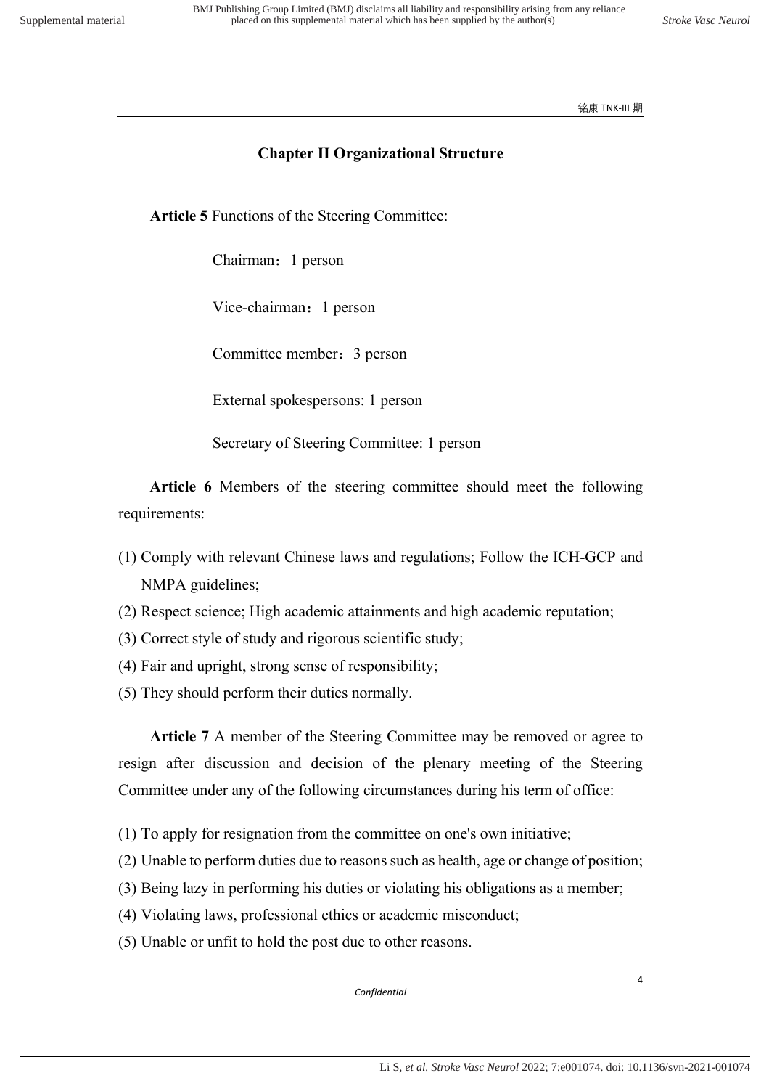## **Chapter II Organizational Structure**

<span id="page-3-0"></span>**Article 5** Functions of the Steering Committee:

Chairman:1 person

Vice-chairman:1 person

Committee member:3 person

External spokespersons: 1 person

Secretary of Steering Committee: 1 person

 **Article 6** Members of the steering committee should meet the following requirements:

- (1) Comply with relevant Chinese laws and regulations; Follow the ICH-GCP and NMPA guidelines;
- (2) Respect science; High academic attainments and high academic reputation;
- (3) Correct style of study and rigorous scientific study;
- (4) Fair and upright, strong sense of responsibility;
- (5) They should perform their duties normally.

**Article 7** A member of the Steering Committee may be removed or agree to resign after discussion and decision of the plenary meeting of the Steering Committee under any of the following circumstances during his term of office:

- (1) To apply for resignation from the committee on one's own initiative;
- (2) Unable to perform duties due to reasons such as health, age or change of position;
- (3) Being lazy in performing his duties or violating his obligations as a member;
- (4) Violating laws, professional ethics or academic misconduct;
- (5) Unable or unfit to hold the post due to other reasons.

*Confidential*

4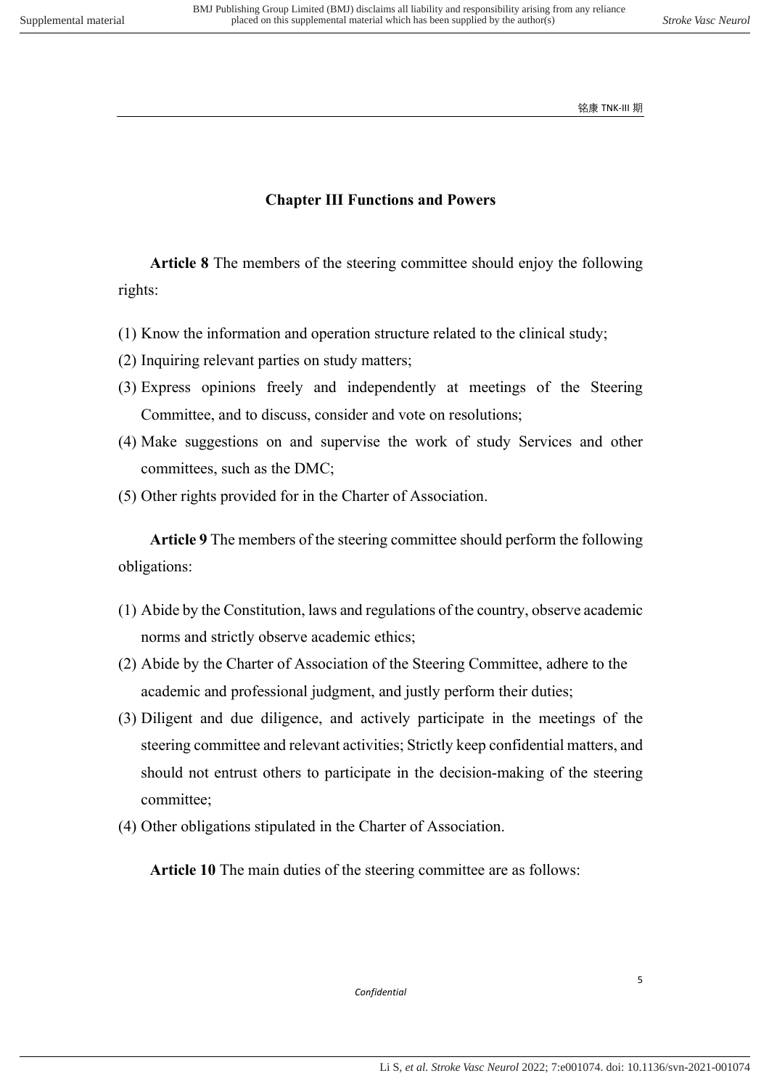## **Chapter III Functions and Powers**

<span id="page-4-0"></span>**Article 8** The members of the steering committee should enjoy the following rights:

- (1) Know the information and operation structure related to the clinical study;
- (2) Inquiring relevant parties on study matters;
- (3) Express opinions freely and independently at meetings of the Steering Committee, and to discuss, consider and vote on resolutions;
- (4) Make suggestions on and supervise the work of study Services and other committees, such as the DMC;
- (5) Other rights provided for in the Charter of Association.

**Article 9** The members of the steering committee should perform the following obligations:

- (1) Abide by the Constitution, laws and regulations of the country, observe academic norms and strictly observe academic ethics;
- (2) Abide by the Charter of Association of the Steering Committee, adhere to the academic and professional judgment, and justly perform their duties;
- (3) Diligent and due diligence, and actively participate in the meetings of the steering committee and relevant activities; Strictly keep confidential matters, and should not entrust others to participate in the decision-making of the steering committee;
- (4) Other obligations stipulated in the Charter of Association.

**Article 10** The main duties of the steering committee are as follows: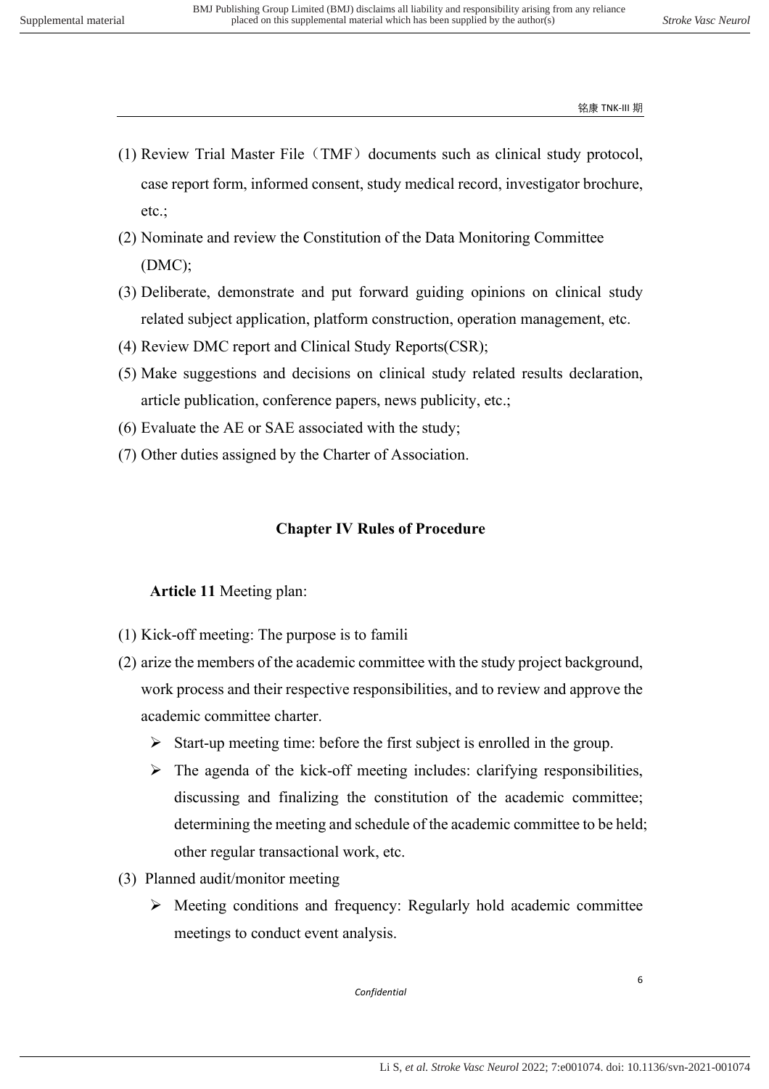- $(1)$  Review Trial Master File (TMF) documents such as clinical study protocol, case report form, informed consent, study medical record, investigator brochure, etc.;
- (2) Nominate and review the Constitution of the Data Monitoring Committee (DMC);
- (3) Deliberate, demonstrate and put forward guiding opinions on clinical study related subject application, platform construction, operation management, etc.
- (4) Review DMC report and Clinical Study Reports(CSR);
- (5) Make suggestions and decisions on clinical study related results declaration, article publication, conference papers, news publicity, etc.;
- (6) Evaluate the AE or SAE associated with the study;
- <span id="page-5-0"></span>(7) Other duties assigned by the Charter of Association.

## **Chapter IV Rules of Procedure**

#### **Article 11** Meeting plan:

- (1) Kick-off meeting: The purpose is to famili
- (2) arize the members of the academic committee with the study project background, work process and their respective responsibilities, and to review and approve the academic committee charter.
	- $\triangleright$  Start-up meeting time: before the first subject is enrolled in the group.
	- $\triangleright$  The agenda of the kick-off meeting includes: clarifying responsibilities, discussing and finalizing the constitution of the academic committee; determining the meeting and schedule of the academic committee to be held; other regular transactional work, etc.
- (3) Planned audit/monitor meeting
	- $\triangleright$  Meeting conditions and frequency: Regularly hold academic committee meetings to conduct event analysis.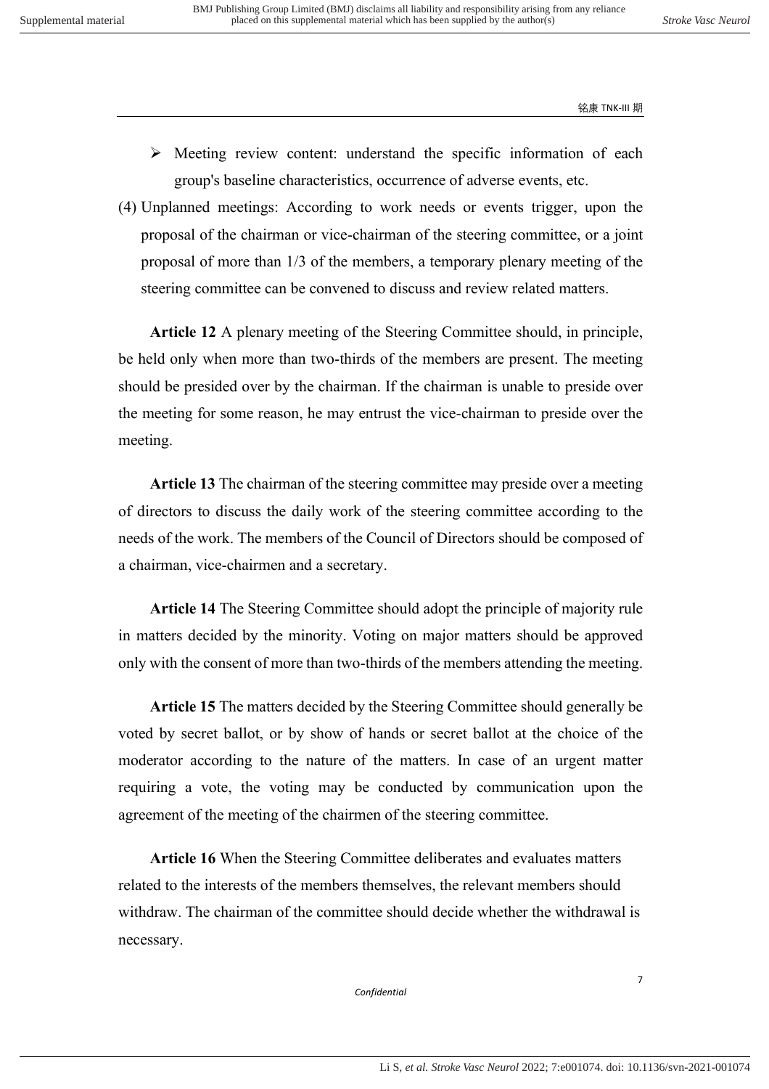- $\triangleright$  Meeting review content: understand the specific information of each group's baseline characteristics, occurrence of adverse events, etc.
- (4) Unplanned meetings: According to work needs or events trigger, upon the proposal of the chairman or vice-chairman of the steering committee, or a joint proposal of more than 1/3 of the members, a temporary plenary meeting of the steering committee can be convened to discuss and review related matters.

**Article 12** A plenary meeting of the Steering Committee should, in principle, be held only when more than two-thirds of the members are present. The meeting should be presided over by the chairman. If the chairman is unable to preside over the meeting for some reason, he may entrust the vice-chairman to preside over the meeting.

**Article 13** The chairman of the steering committee may preside over a meeting of directors to discuss the daily work of the steering committee according to the needs of the work. The members of the Council of Directors should be composed of a chairman, vice-chairmen and a secretary.

**Article 14** The Steering Committee should adopt the principle of majority rule in matters decided by the minority. Voting on major matters should be approved only with the consent of more than two-thirds of the members attending the meeting.

**Article 15** The matters decided by the Steering Committee should generally be voted by secret ballot, or by show of hands or secret ballot at the choice of the moderator according to the nature of the matters. In case of an urgent matter requiring a vote, the voting may be conducted by communication upon the agreement of the meeting of the chairmen of the steering committee.

**Article 16** When the Steering Committee deliberates and evaluates matters related to the interests of the members themselves, the relevant members should withdraw. The chairman of the committee should decide whether the withdrawal is necessary.

*Confidential*

7